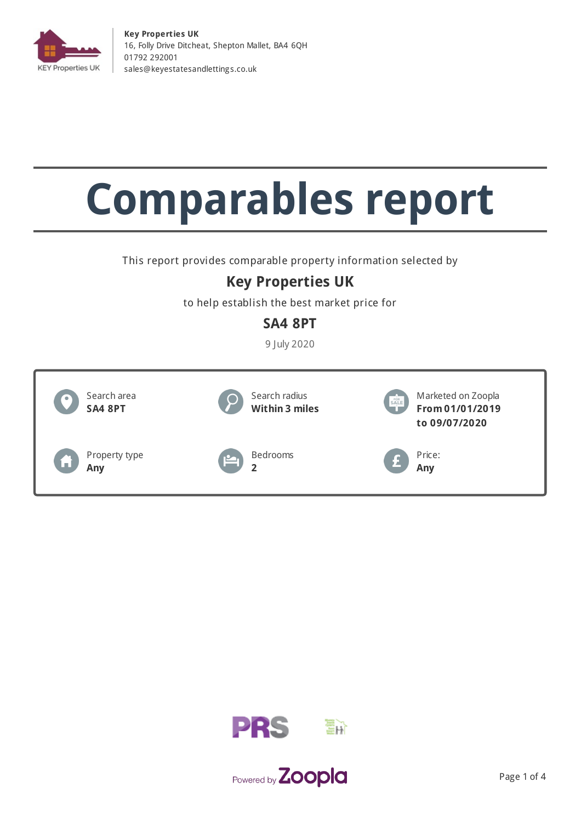

**Key Properties UK** 16, Folly Drive Ditcheat, Shepton Mallet, BA4 6QH 01792 292001 [sales@keyestatesandletting](mailto:sales@keyestatesandlettings.co.uk) s.co.uk

# **Comparables report**

This report provides comparable property information selected by

## **Key Properties UK**

to help establish the best market price for

## **SA4 8PT**

9 July 2020





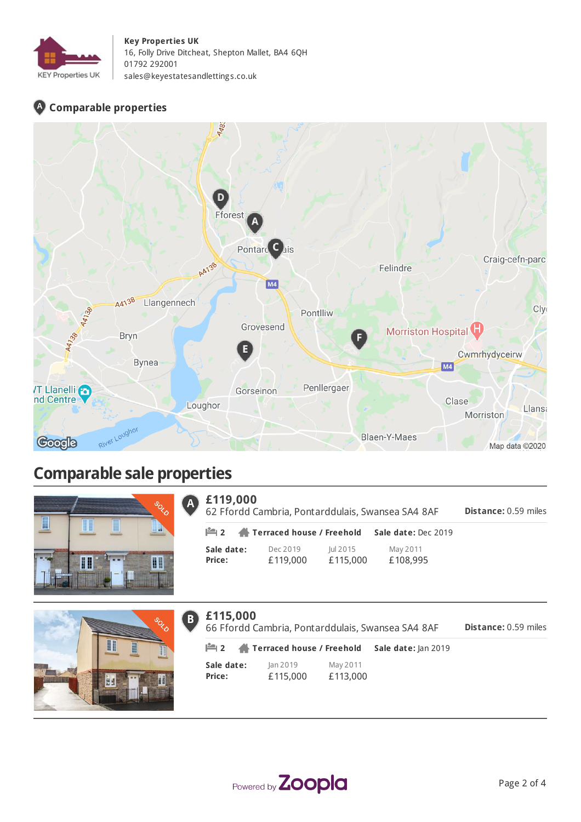

#### **Key Properties UK**

16, Folly Drive Ditcheat, Shepton Mallet, BA4 6QH 01792 292001 [sales@keyestatesandletting](mailto:sales@keyestatesandlettings.co.uk) s.co.uk

### **Comparable properties**



## **Comparable sale properties**

|                 |             |               | <b>CONSTRUCTION</b> |
|-----------------|-------------|---------------|---------------------|
| I               | I<br>I<br>_ | I<br>__<br>__ | m<br>ш              |
|                 |             |               |                     |
| <b>KENSUCKS</b> | I<br>I      |               | I<br>H              |
|                 |             |               |                     |



| $\bigcup$ £119,000 |            |                      |                      | 62 Ffordd Cambria, Pontarddulais, Swansea SA4 8AF      | <b>Distance: 0.59 miles</b> |
|--------------------|------------|----------------------|----------------------|--------------------------------------------------------|-----------------------------|
|                    |            |                      |                      | <b>2</b> Terraced house / Freehold Sale date: Dec 2019 |                             |
| Price:             | Sale date: | Dec 2019<br>£119,000 | lul 2015<br>£115,000 | May 2011<br>£108,995                                   |                             |



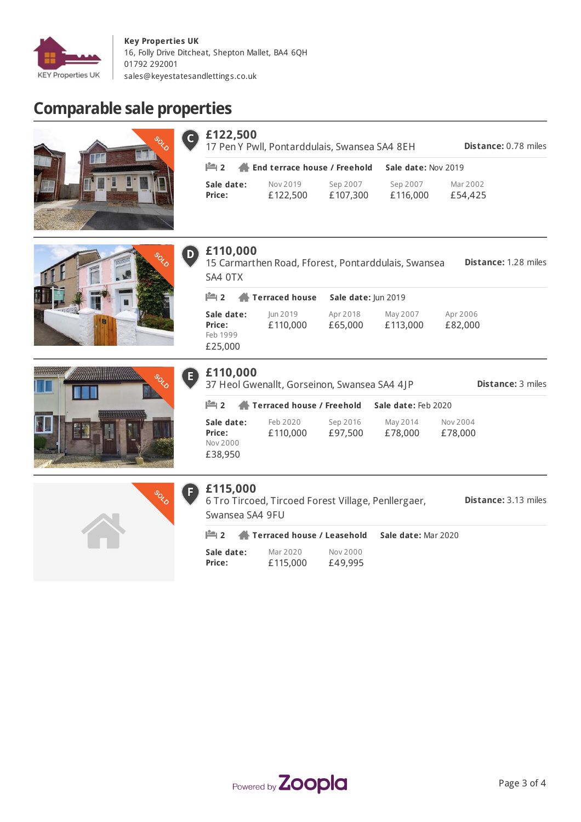

#### **Key Properties UK** 16, Folly Drive Ditcheat, Shepton Mallet, BA4 6QH 01792 292001 [sales@keyestatesandletting](mailto:sales@keyestatesandlettings.co.uk) s.co.uk

# **Comparable sale properties**



| $6$ £122,500<br>17 Pen Y Pwll, Pontarddulais, Swansea SA4 8EH<br><b>Distance: 0.78 miles</b> |                      |                      |                      |                     |  |  |
|----------------------------------------------------------------------------------------------|----------------------|----------------------|----------------------|---------------------|--|--|
| $\mathbb{H}$ 2 $\mathbb{A}$ End terrace house / Freehold                                     |                      |                      | Sale date: Nov 2019  |                     |  |  |
| Sale date:<br><b>Price:</b>                                                                  | Nov 2019<br>£122,500 | Sep 2007<br>£107,300 | Sep 2007<br>£116,000 | Mar 2002<br>£54,425 |  |  |





|  |  | £110,000 |  |  |
|--|--|----------|--|--|
|--|--|----------|--|--|

**Distance:** 1.28 miles 15 Carmarthen Road, Fforest, Pontarddulais, Swansea SA4 0TX

**Sale date: Price:** Jun 2019 £110,000 Apr 2018 £65,000 May 2007 £113,000 Apr 2006 £82,000 Feb 1999 £25,000 **2 Terraced house Sale date:** Jun 2019

| £110,000<br><b>Distance: 3 miles</b><br>37 Heol Gwenallt, Gorseinon, Swansea SA4 4JP |                           |                     |                     |                     |  |  |  |
|--------------------------------------------------------------------------------------|---------------------------|---------------------|---------------------|---------------------|--|--|--|
| $\mathbb{H}$ 2                                                                       | Terraced house / Freehold |                     | Sale date: Feb 2020 |                     |  |  |  |
| Sale date:<br>Price:<br>Nov 2000<br>£38,950                                          | Feb 2020<br>£110,000      | Sep 2016<br>£97,500 | May 2014<br>£78,000 | Nov 2004<br>£78,000 |  |  |  |



## **£115,000**

E)

**Distance:** 3.13 miles 6 Tro Tircoed, Tircoed Forest Village, Penllergaer,

|                      | Swansea SA4 9FU      |                     |                                                         |  |
|----------------------|----------------------|---------------------|---------------------------------------------------------|--|
|                      |                      |                     | <b>2</b> Terraced house / Leasehold Sale date: Mar 2020 |  |
| Sale date:<br>Price: | Mar 2020<br>£115.000 | Nov 2000<br>£49.995 |                                                         |  |